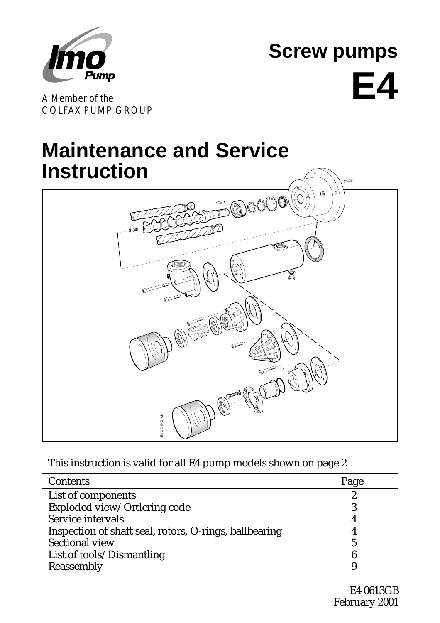

**Screw pumps E4**

A Member of the COLFAX PUMP GROUP

# **Maintenance and Service Instruction**



| E41@IMO AB                                                       |      |  |  |  |  |
|------------------------------------------------------------------|------|--|--|--|--|
|                                                                  |      |  |  |  |  |
| This instruction is valid for all E4 pump models shown on page 2 |      |  |  |  |  |
| Contents                                                         | Page |  |  |  |  |
| List of components                                               |      |  |  |  |  |
| Exploded view/Ordering code                                      | 0    |  |  |  |  |
| Service intervals                                                |      |  |  |  |  |
| Inspection of shaft seal, rotors, O-rings, ballbearing           |      |  |  |  |  |
| <b>Sectional view</b>                                            | 5    |  |  |  |  |
| List of tools/Dismantling                                        |      |  |  |  |  |
| Reassembly                                                       |      |  |  |  |  |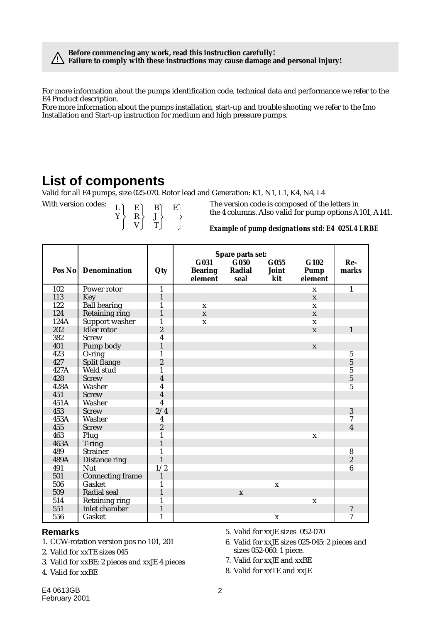**Before commencing any work, read this instruction carefully! Failure to comply with these instructions may cause damage and personal injury! !**

For more information about the pumps identification code, technical data and performance we refer to the E4 Product description.

Fore more information about the pumps installation, start-up and trouble shooting we refer to the Imo Installation and Start-up instruction for medium and high pressure pumps.

#### **List of components**

Valid for all E4 pumps, size 025-070. Rotor lead and Generation: K1, N1, L1, K4, N4, L4

L Y E R V B J T E

With version codes:  $\begin{bmatrix} 1 & \mathbf{F} & \mathbf{F} & \mathbf{F} & \mathbf{F} & \mathbf{F} & \mathbf{F} & \mathbf{F} & \mathbf{F} & \mathbf{F} & \mathbf{F} & \mathbf{F} & \mathbf{F} & \mathbf{F} & \mathbf{F} & \mathbf{F} & \mathbf{F} & \mathbf{F} & \mathbf{F} & \mathbf{F} & \mathbf{F} & \mathbf{F} & \mathbf{F} & \mathbf{F} & \mathbf{F} & \mathbf{F} & \mathbf{F} & \mathbf{F} & \math$ the 4 columns. Also valid for pump options A101, A141.

#### *Example of pump designations std: E4 025L4 LRBE*

|      |                         |                | Spare parts set:                  |                                               |                      |                                |                         |
|------|-------------------------|----------------|-----------------------------------|-----------------------------------------------|----------------------|--------------------------------|-------------------------|
|      | Pos No Denomination     | Qty            | G031<br><b>Bearing</b><br>element | $\overline{\mathbf{G}}$ 050<br>Radial<br>seal | G055<br>Joint<br>kit | G102<br><b>Pump</b><br>element | $Re-$<br>marks          |
| 102  | Power rotor             | $\mathbf{1}$   |                                   |                                               |                      | $\mathbf x$                    | $\mathbf{1}$            |
| 113  | Key                     | $\mathbf{1}$   |                                   |                                               |                      | X                              |                         |
| 122  | <b>Ball bearing</b>     | 1              | $\mathbf x$                       |                                               |                      | $\mathbf x$                    |                         |
| 124  | <b>Retaining ring</b>   | $\mathbf{1}$   | $\mathbf{X}$                      |                                               |                      | $\mathbf x$                    |                         |
| 124A | Support washer          | 1              | $\mathbf{x}$                      |                                               |                      | $\mathbf x$                    |                         |
| 202  | Idler rotor             | $\overline{c}$ |                                   |                                               |                      | $\mathbf{x}$                   | $\mathbf{1}$            |
| 382  | <b>Screw</b>            | 4              |                                   |                                               |                      |                                |                         |
| 401  | Pump body               | $\mathbf{1}$   |                                   |                                               |                      | $\mathbf x$                    |                         |
| 423  | $O$ -ring               | 1              |                                   |                                               |                      |                                | $\sqrt{5}$              |
| 427  | Split flange            | $\overline{c}$ |                                   |                                               |                      |                                | $\overline{5}$          |
| 427A | Weld stud               | 1              |                                   |                                               |                      |                                | $\overline{5}$          |
| 428  | <b>Screw</b>            | 4              |                                   |                                               |                      |                                | $\overline{5}$          |
| 428A | Washer                  | 4              |                                   |                                               |                      |                                | $\overline{5}$          |
| 451  | <b>Screw</b>            | $\overline{4}$ |                                   |                                               |                      |                                |                         |
| 451A | Washer                  | $\overline{4}$ |                                   |                                               |                      |                                |                         |
| 453  | <b>Screw</b>            | 2/4            |                                   |                                               |                      |                                | 3                       |
| 453A | Washer                  | 4              |                                   |                                               |                      |                                | 7                       |
| 455  | <b>Screw</b>            | $\overline{c}$ |                                   |                                               |                      |                                | $\overline{\mathbf{4}}$ |
| 463  | Plug                    | 1              |                                   |                                               |                      | $\mathbf X$                    |                         |
| 463A | T-ring                  | 1              |                                   |                                               |                      |                                |                         |
| 489  | <b>Strainer</b>         | 1              |                                   |                                               |                      |                                | 8                       |
| 489A | Distance ring           | $\mathbf{1}$   |                                   |                                               |                      |                                | $\sqrt{2}$              |
| 491  | <b>Nut</b>              | 1/2            |                                   |                                               |                      |                                | $6\phantom{1}6$         |
| 501  | <b>Connecting frame</b> | $\mathbf{1}$   |                                   |                                               |                      |                                |                         |
| 506  | Gasket                  | 1              |                                   |                                               | $\mathbf x$          |                                |                         |
| 509  | Radial seal             | $\mathbf{1}$   |                                   | $\mathbf{x}$                                  |                      |                                |                         |
| 514  | <b>Retaining ring</b>   | 1              |                                   |                                               |                      | $\mathbf x$                    |                         |
| 551  | Inlet chamber           | $\mathbf{1}$   |                                   |                                               |                      |                                | $\boldsymbol{7}$        |
| 556  | Gasket                  | $\mathbf{1}$   |                                   |                                               | $\mathbf X$          |                                | $\overline{7}$          |

#### **Remarks**

- 1. CCW-rotation version pos no 101, 201
- 2. Valid for xxTE sizes 045
- 3. Valid for xxBE: 2 pieces and xxJE 4 pieces
- 4. Valid for xxBE
- 5. Valid for xxJE sizes 052-070
- 6. Valid for xxJE sizes 025-045: 2 pieces and sizes 052-060: 1 piece.
- 7. Valid for xxJE and xxBE
- 8. Valid for xxTE and xxJE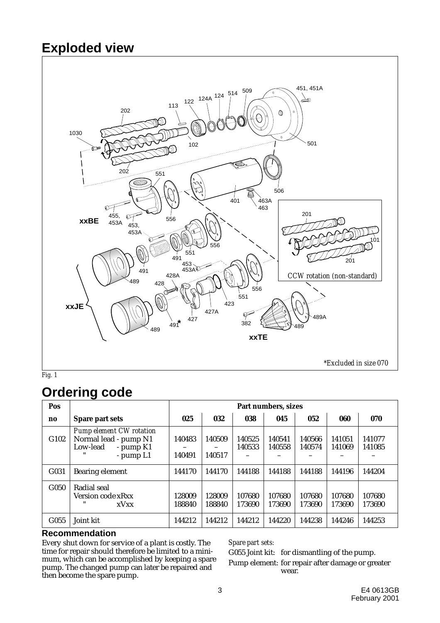#### **Exploded view**



#### **Ordering code**

| Pos              |                                                                                                    | Part numbers, sizes |                  |                  |                  |                  |                  |                  |
|------------------|----------------------------------------------------------------------------------------------------|---------------------|------------------|------------------|------------------|------------------|------------------|------------------|
| no               | Spare part sets                                                                                    | 025                 | 032              | 038              | 045              | 052              | 060              | 070              |
| G102             | <b>Pump element CW rotation</b><br>Normal lead - pump N1<br>$-$ pump $K1$<br>Low-lead<br>- pump L1 | 140483<br>140491    | 140509<br>140517 | 140525<br>140533 | 140541<br>140558 | 140566<br>140574 | 141051<br>141069 | 141077<br>141085 |
| G031             | Bearing element                                                                                    | 144170              | 144170           | 144188           | 144188           | 144188           | 144196           | 144204           |
| G <sub>050</sub> | Radial seal<br>Version code xRxx<br>"<br>xVxx                                                      | 128009<br>188840    | 128009<br>188840 | 107680<br>173690 | 107680<br>173690 | 107680<br>173690 | 107680<br>173690 | 107680<br>173690 |
| G055             | Joint kit                                                                                          | 144212              | 144212           | 144212           | 144220           | 144238           | 144246           | 144253           |

#### **Recommendation**

Every shut down for service of a plant is costly. The time for repair should therefore be limited to a minimum, which can be accomplished by keeping a spare pump. The changed pump can later be repaired and then become the spare pump.

*Spare part sets:*

G055 Joint kit: for dismantling of the pump. Pump element: for repair after damage or greater wear.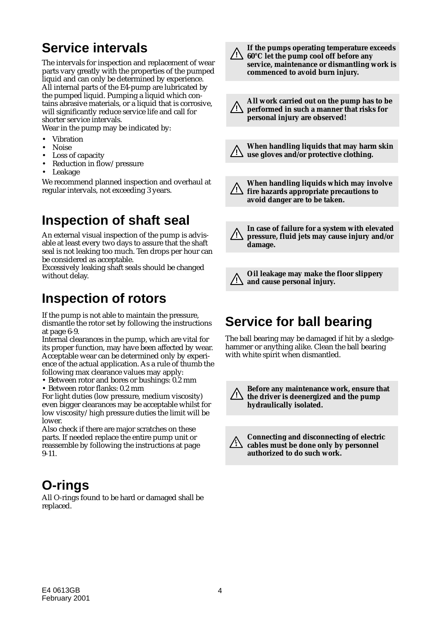### **Service intervals**

The intervals for inspection and replacement of wear parts vary greatly with the properties of the pumped liquid and can only be determined by experience. All internal parts of the E4-pump are lubricated by the pumped liquid. Pumping a liquid which contains abrasive materials, or a liquid that is corrosive, will significantly reduce service life and call for shorter service intervals.

Wear in the pump may be indicated by:

- **Vibration**
- Noise
- Loss of capacity
- Reduction in flow/pressure
- Leakage

We recommend planned inspection and overhaul at regular intervals, not exceeding 3 years.

### **Inspection of shaft seal**

An external visual inspection of the pump is advisable at least every two days to assure that the shaft seal is not leaking too much. Ten drops per hour can be considered as acceptable.

Excessively leaking shaft seals should be changed without delay.

#### **Inspection of rotors**

If the pump is not able to maintain the pressure, dismantle the rotor set by following the instructions at page 6-9.

Internal clearances in the pump, which are vital for its proper function, may have been affected by wear. Acceptable wear can be determined only by experience of the actual application. As a rule of thumb the following max clearance values may apply:

• Between rotor and bores or bushings: 0.2 mm

• Between rotor flanks: 0.2 mm

For light duties (low pressure, medium viscosity) even bigger clearances may be acceptable whilst for low viscosity/high pressure duties the limit will be lower.

Also check if there are major scratches on these parts. If needed replace the entire pump unit or reassemble by following the instructions at page 9-11.

#### **O-rings**

All O-rings found to be hard or damaged shall be replaced.

**If the pumps operating temperature exceeds 60°C let the pump cool off before any ! service, maintenance or dismantling work is commenced to avoid burn injury.**

- **All work carried out on the pump has to be performed in such a manner that risks for ! personal injury are observed!**
- **When handling liquids that may harm skin use gloves and/or protective clothing. !**

**When handling liquids which may involve fire hazards appropriate precautions to ! avoid danger are to be taken.**

**In case of failure for a system with elevated pressure, fluid jets may cause injury and/or damage. !**

**Oil leakage may make the floor slippery and cause personal injury. !**

### **Service for ball bearing**

The ball bearing may be damaged if hit by a sledgehammer or anything alike. Clean the ball bearing with white spirit when dismantled.



**! Before any maintenance work, ensure that the driver is deenergized and the pump hydraulically isolated.**

**Connecting and disconnecting of electric cables must be done only by personnel authorized to do such work.**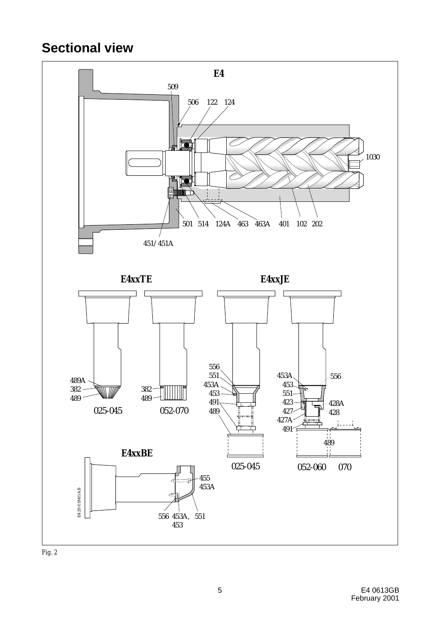### **Sectional view**



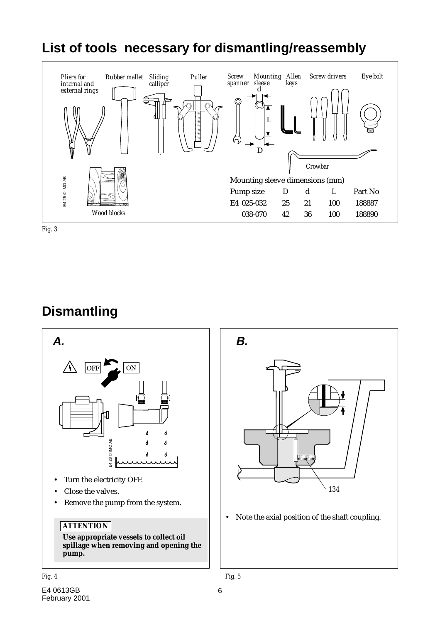### **List of tools necessary for dismantling/reassembly**





#### **Dismantling**





• Note the axial position of the shaft coupling.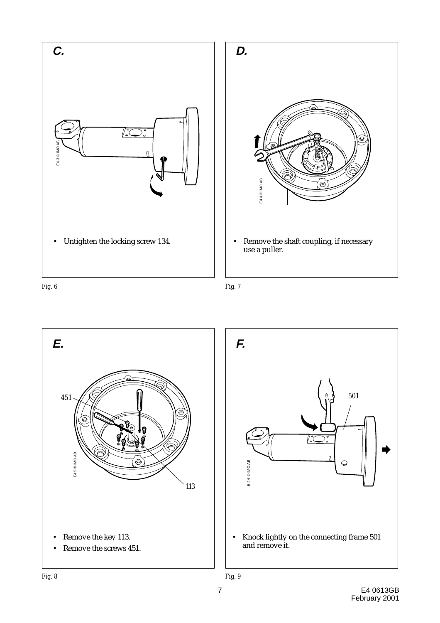



*Fig. 6 Fig. 7*

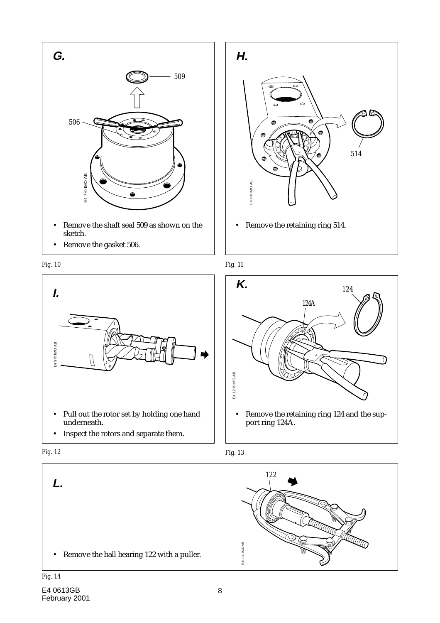

• Remove the gasket 506.















#### *Fig. 14*

*Fig. 12*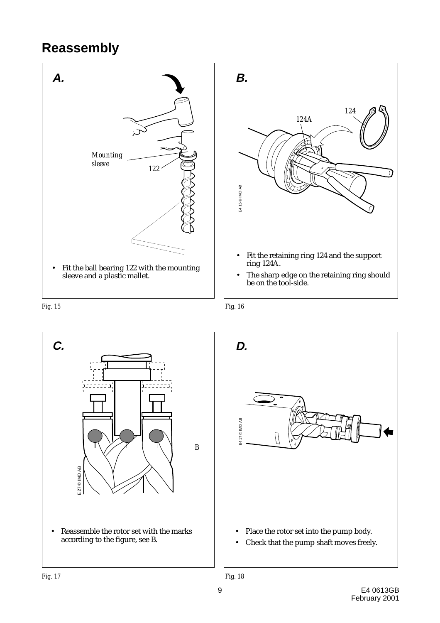### **Reassembly**



*Fig. 15 Fig. 16*

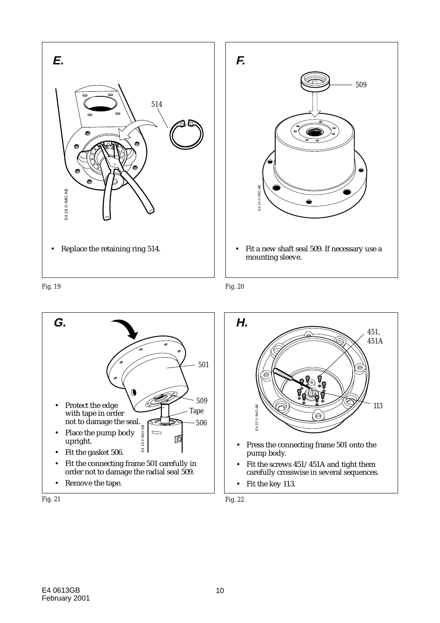



*Fig. 19 Fig. 20*